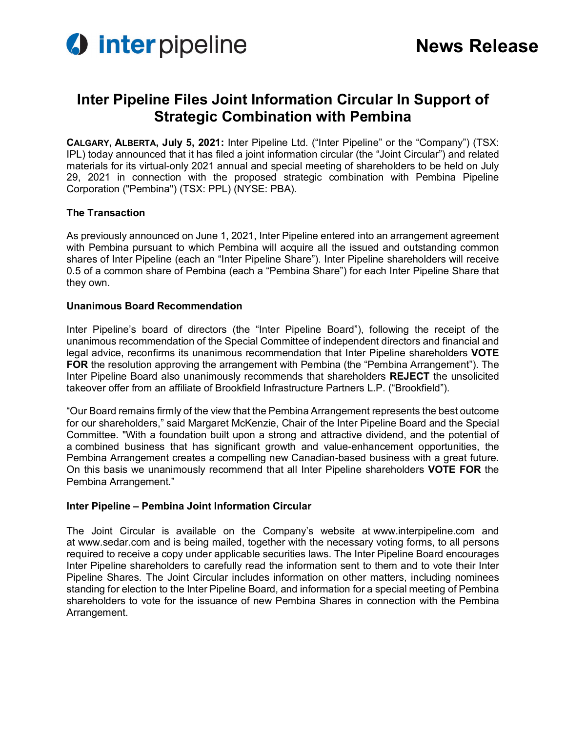

# **Inter Pipeline Files Joint Information Circular In Support of Strategic Combination with Pembina**

**CALGARY, ALBERTA, July 5, 2021:** Inter Pipeline Ltd. ("Inter Pipeline" or the "Company") (TSX: IPL) today announced that it has filed a joint information circular (the "Joint Circular") and related materials for its virtual-only 2021 annual and special meeting of shareholders to be held on July 29, 2021 in connection with the proposed strategic combination with Pembina Pipeline Corporation ("Pembina") (TSX: PPL) (NYSE: PBA).

## **The Transaction**

As previously announced on June 1, 2021, Inter Pipeline entered into an arrangement agreement with Pembina pursuant to which Pembina will acquire all the issued and outstanding common shares of Inter Pipeline (each an "Inter Pipeline Share"). Inter Pipeline shareholders will receive 0.5 of a common share of Pembina (each a "Pembina Share") for each Inter Pipeline Share that they own.

### **Unanimous Board Recommendation**

Inter Pipeline's board of directors (the "Inter Pipeline Board"), following the receipt of the unanimous recommendation of the Special Committee of independent directors and financial and legal advice, reconfirms its unanimous recommendation that Inter Pipeline shareholders **VOTE FOR** the resolution approving the arrangement with Pembina (the "Pembina Arrangement"). The Inter Pipeline Board also unanimously recommends that shareholders **REJECT** the unsolicited takeover offer from an affiliate of Brookfield Infrastructure Partners L.P. ("Brookfield").

"Our Board remains firmly of the view that the Pembina Arrangement represents the best outcome for our shareholders," said Margaret McKenzie, Chair of the Inter Pipeline Board and the Special Committee. "With a foundation built upon a strong and attractive dividend, and the potential of a combined business that has significant growth and value-enhancement opportunities, the Pembina Arrangement creates a compelling new Canadian-based business with a great future. On this basis we unanimously recommend that all Inter Pipeline shareholders **VOTE FOR** the Pembina Arrangement."

## **Inter Pipeline – Pembina Joint Information Circular**

The Joint Circular is available on the Company's website at www.interpipeline.com and at www.sedar.com and is being mailed, together with the necessary voting forms, to all persons required to receive a copy under applicable securities laws. The Inter Pipeline Board encourages Inter Pipeline shareholders to carefully read the information sent to them and to vote their Inter Pipeline Shares. The Joint Circular includes information on other matters, including nominees standing for election to the Inter Pipeline Board, and information for a special meeting of Pembina shareholders to vote for the issuance of new Pembina Shares in connection with the Pembina Arrangement.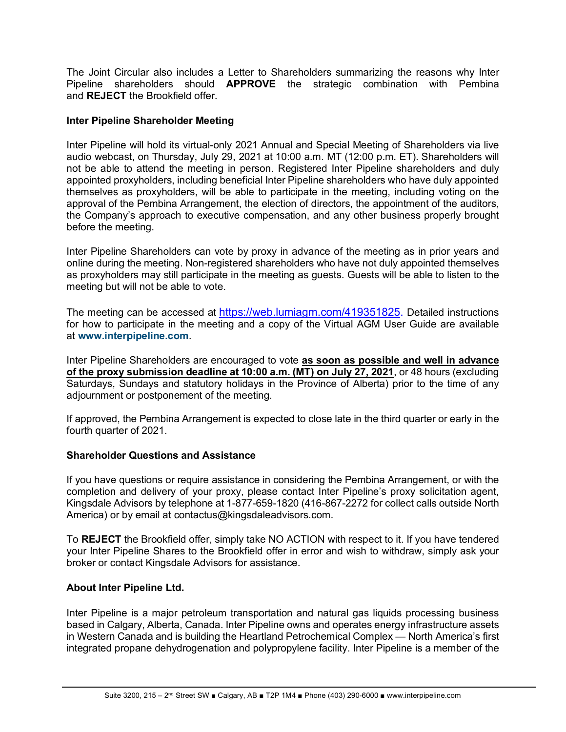The Joint Circular also includes a Letter to Shareholders summarizing the reasons why Inter Pipeline shareholders should **APPROVE** the strategic combination with Pembina and **REJECT** the Brookfield offer.

## **Inter Pipeline Shareholder Meeting**

Inter Pipeline will hold its virtual-only 2021 Annual and Special Meeting of Shareholders via live audio webcast, on Thursday, July 29, 2021 at 10:00 a.m. MT (12:00 p.m. ET). Shareholders will not be able to attend the meeting in person. Registered Inter Pipeline shareholders and duly appointed proxyholders, including beneficial Inter Pipeline shareholders who have duly appointed themselves as proxyholders, will be able to participate in the meeting, including voting on the approval of the Pembina Arrangement, the election of directors, the appointment of the auditors, the Company's approach to executive compensation, and any other business properly brought before the meeting.

Inter Pipeline Shareholders can vote by proxy in advance of the meeting as in prior years and online during the meeting. Non-registered shareholders who have not duly appointed themselves as proxyholders may still participate in the meeting as guests. Guests will be able to listen to the meeting but will not be able to vote.

The meeting can be accessed at [https://web.lumiagm.com/419351825](https://can01.safelinks.protection.outlook.com/?url=https%3A%2F%2Furldefense.proofpoint.com%2Fv2%2Furl%3Fu%3Dhttps-3A__web.lumiagm.com_419351825%26d%3DDwMF-g%26c%3DXYrWdXnqoGVNRPOyUELP3IXCOEKnVf1zLk3mv6_0vws%26r%3DGqHcdewaZJjXA58OOic8_r7XIsSudrw52DZvFpsxkY2hExEH9sEz6LKChNt3U3F5%26m%3DV47UpKx8fCl4Qf-gKfIgrH0RYiUR4rI2nXZEOjIKIm4%26s%3DGvU6mdHGz80U4gh4yCpCqdi1Koy6VNOG-E4pLMEZ65I%26e%3D&data=04%7C01%7CBreanne.Oliver%40interpipeline.com%7Ce20133d6ac4a4432cb9308d9364da94e%7C5856e91d192f4b6b821206ea11394098%7C0%7C0%7C637600530238861825%7CUnknown%7CTWFpbGZsb3d8eyJWIjoiMC4wLjAwMDAiLCJQIjoiV2luMzIiLCJBTiI6Ik1haWwiLCJXVCI6Mn0%3D%7C1000&sdata=WuZfs%2BO%2Fwqt7I0CXzYfYYM7MM96Ue6sZa6YR%2FbCXYpI%3D&reserved=0). Detailed instructions for how to participate in the meeting and a copy of the Virtual AGM User Guide are available at **www.interpipeline.com**.

Inter Pipeline Shareholders are encouraged to vote **as soon as possible and well in advance of the proxy submission deadline at 10:00 a.m. (MT) on July 27, 2021**, or 48 hours (excluding Saturdays, Sundays and statutory holidays in the Province of Alberta) prior to the time of any adjournment or postponement of the meeting.

If approved, the Pembina Arrangement is expected to close late in the third quarter or early in the fourth quarter of 2021.

## **Shareholder Questions and Assistance**

If you have questions or require assistance in considering the Pembina Arrangement, or with the completion and delivery of your proxy, please contact Inter Pipeline's proxy solicitation agent, Kingsdale Advisors by telephone at 1-877-659-1820 (416-867-2272 for collect calls outside North America) or by email at contactus@kingsdaleadvisors.com.

To **REJECT** the Brookfield offer, simply take NO ACTION with respect to it. If you have tendered your Inter Pipeline Shares to the Brookfield offer in error and wish to withdraw, simply ask your broker or contact Kingsdale Advisors for assistance.

## **About Inter Pipeline Ltd.**

Inter Pipeline is a major petroleum transportation and natural gas liquids processing business based in Calgary, Alberta, Canada. Inter Pipeline owns and operates energy infrastructure assets in Western Canada and is building the Heartland Petrochemical Complex — North America's first integrated propane dehydrogenation and polypropylene facility. Inter Pipeline is a member of the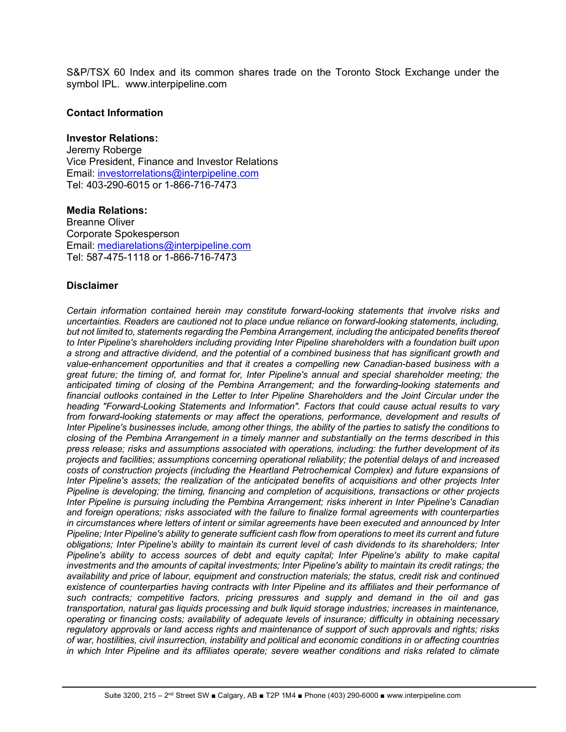S&P/TSX 60 Index and its common shares trade on the Toronto Stock Exchange under the symbol IPL. www.interpipeline.com

### **Contact Information**

#### **Investor Relations:**

Jeremy Roberge Vice President, Finance and Investor Relations Email: [investorrelations@interpipeline.com](mailto:investorrelations@interpipeline.com) Tel: 403-290-6015 or 1-866-716-7473

**Media Relations:** Breanne Oliver Corporate Spokesperson Email: [mediarelations@interpipeline.com](mailto:mediarelations@interpipeline.com) Tel: 587-475-1118 or 1-866-716-7473

### **Disclaimer**

*Certain information contained herein may constitute forward-looking statements that involve risks and uncertainties. Readers are cautioned not to place undue reliance on forward-looking statements, including, but not limited to, statements regarding the Pembina Arrangement, including the anticipated benefits thereof to Inter Pipeline's shareholders including providing Inter Pipeline shareholders with a foundation built upon a strong and attractive dividend, and the potential of a combined business that has significant growth and value-enhancement opportunities and that it creates a compelling new Canadian-based business with a great future; the timing of, and format for, Inter Pipeline's annual and special shareholder meeting; the anticipated timing of closing of the Pembina Arrangement; and the forwarding-looking statements and financial outlooks contained in the Letter to Inter Pipeline Shareholders and the Joint Circular under the heading "Forward-Looking Statements and Information". Factors that could cause actual results to vary from forward-looking statements or may affect the operations, performance, development and results of Inter Pipeline's businesses include, among other things, the ability of the parties to satisfy the conditions to closing of the Pembina Arrangement in a timely manner and substantially on the terms described in this press release; risks and assumptions associated with operations, including: the further development of its projects and facilities; assumptions concerning operational reliability; the potential delays of and increased costs of construction projects (including the Heartland Petrochemical Complex) and future expansions of Inter Pipeline's assets; the realization of the anticipated benefits of acquisitions and other projects Inter Pipeline is developing; the timing, financing and completion of acquisitions, transactions or other projects Inter Pipeline is pursuing including the Pembina Arrangement; risks inherent in Inter Pipeline's Canadian and foreign operations; risks associated with the failure to finalize formal agreements with counterparties in circumstances where letters of intent or similar agreements have been executed and announced by Inter Pipeline; Inter Pipeline's ability to generate sufficient cash flow from operations to meet its current and future obligations; Inter Pipeline's ability to maintain its current level of cash dividends to its shareholders; Inter Pipeline's ability to access sources of debt and equity capital; Inter Pipeline's ability to make capital investments and the amounts of capital investments; Inter Pipeline's ability to maintain its credit ratings; the availability and price of labour, equipment and construction materials; the status, credit risk and continued existence of counterparties having contracts with Inter Pipeline and its affiliates and their performance of such contracts; competitive factors, pricing pressures and supply and demand in the oil and gas transportation, natural gas liquids processing and bulk liquid storage industries; increases in maintenance, operating or financing costs; availability of adequate levels of insurance; difficulty in obtaining necessary regulatory approvals or land access rights and maintenance of support of such approvals and rights; risks of war, hostilities, civil insurrection, instability and political and economic conditions in or affecting countries in which Inter Pipeline and its affiliates operate; severe weather conditions and risks related to climate*